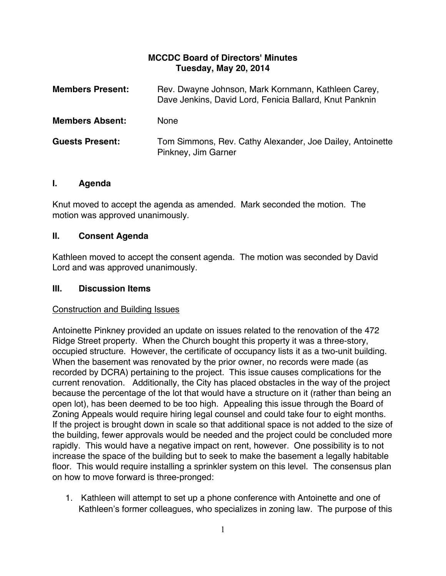## **MCCDC Board of Directors' Minutes Tuesday, May 20, 2014**

| <b>Members Present:</b> | Rev. Dwayne Johnson, Mark Kornmann, Kathleen Carey,<br>Dave Jenkins, David Lord, Fenicia Ballard, Knut Panknin |
|-------------------------|----------------------------------------------------------------------------------------------------------------|
| <b>Members Absent:</b>  | <b>None</b>                                                                                                    |
| <b>Guests Present:</b>  | Tom Simmons, Rev. Cathy Alexander, Joe Dailey, Antoinette<br>Pinkney, Jim Garner                               |

### **I. Agenda**

Knut moved to accept the agenda as amended. Mark seconded the motion. The motion was approved unanimously.

# **II. Consent Agenda**

Kathleen moved to accept the consent agenda. The motion was seconded by David Lord and was approved unanimously.

### **III. Discussion Items**

### Construction and Building Issues

Antoinette Pinkney provided an update on issues related to the renovation of the 472 Ridge Street property. When the Church bought this property it was a three-story, occupied structure. However, the certificate of occupancy lists it as a two-unit building. When the basement was renovated by the prior owner, no records were made (as recorded by DCRA) pertaining to the project. This issue causes complications for the current renovation. Additionally, the City has placed obstacles in the way of the project because the percentage of the lot that would have a structure on it (rather than being an open lot), has been deemed to be too high. Appealing this issue through the Board of Zoning Appeals would require hiring legal counsel and could take four to eight months. If the project is brought down in scale so that additional space is not added to the size of the building, fewer approvals would be needed and the project could be concluded more rapidly. This would have a negative impact on rent, however. One possibility is to not increase the space of the building but to seek to make the basement a legally habitable floor. This would require installing a sprinkler system on this level. The consensus plan on how to move forward is three-pronged:

1. Kathleen will attempt to set up a phone conference with Antoinette and one of Kathleen's former colleagues, who specializes in zoning law. The purpose of this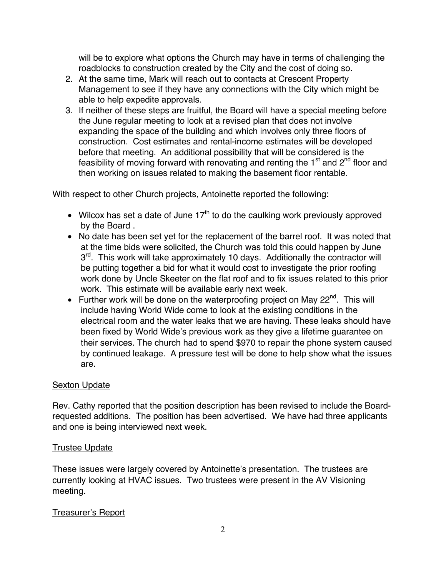will be to explore what options the Church may have in terms of challenging the roadblocks to construction created by the City and the cost of doing so.

- 2. At the same time, Mark will reach out to contacts at Crescent Property Management to see if they have any connections with the City which might be able to help expedite approvals.
- 3. If neither of these steps are fruitful, the Board will have a special meeting before the June regular meeting to look at a revised plan that does not involve expanding the space of the building and which involves only three floors of construction. Cost estimates and rental-income estimates will be developed before that meeting. An additional possibility that will be considered is the feasibility of moving forward with renovating and renting the  $1<sup>st</sup>$  and  $2<sup>nd</sup>$  floor and then working on issues related to making the basement floor rentable.

With respect to other Church projects, Antoinette reported the following:

- Wilcox has set a date of June  $17<sup>th</sup>$  to do the caulking work previously approved by the Board .
- No date has been set yet for the replacement of the barrel roof. It was noted that at the time bids were solicited, the Church was told this could happen by June  $3<sup>rd</sup>$ . This work will take approximately 10 days. Additionally the contractor will be putting together a bid for what it would cost to investigate the prior roofing work done by Uncle Skeeter on the flat roof and to fix issues related to this prior work. This estimate will be available early next week.
- Further work will be done on the waterproofing project on May  $22^{nd}$ . This will include having World Wide come to look at the existing conditions in the electrical room and the water leaks that we are having. These leaks should have been fixed by World Wide's previous work as they give a lifetime guarantee on their services. The church had to spend \$970 to repair the phone system caused by continued leakage. A pressure test will be done to help show what the issues are.

### Sexton Update

Rev. Cathy reported that the position description has been revised to include the Boardrequested additions. The position has been advertised. We have had three applicants and one is being interviewed next week.

# Trustee Update

These issues were largely covered by Antoinette's presentation. The trustees are currently looking at HVAC issues. Two trustees were present in the AV Visioning meeting.

# Treasurer's Report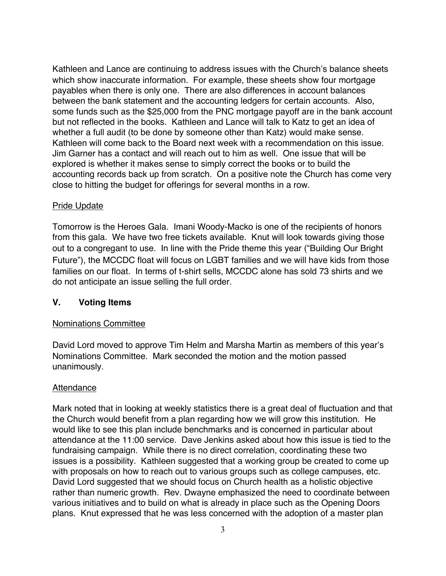Kathleen and Lance are continuing to address issues with the Church's balance sheets which show inaccurate information. For example, these sheets show four mortgage payables when there is only one. There are also differences in account balances between the bank statement and the accounting ledgers for certain accounts. Also, some funds such as the \$25,000 from the PNC mortgage payoff are in the bank account but not reflected in the books. Kathleen and Lance will talk to Katz to get an idea of whether a full audit (to be done by someone other than Katz) would make sense. Kathleen will come back to the Board next week with a recommendation on this issue. Jim Garner has a contact and will reach out to him as well. One issue that will be explored is whether it makes sense to simply correct the books or to build the accounting records back up from scratch. On a positive note the Church has come very close to hitting the budget for offerings for several months in a row.

### Pride Update

Tomorrow is the Heroes Gala. Imani Woody-Macko is one of the recipients of honors from this gala. We have two free tickets available. Knut will look towards giving those out to a congregant to use. In line with the Pride theme this year ("Building Our Bright Future"), the MCCDC float will focus on LGBT families and we will have kids from those families on our float. In terms of t-shirt sells, MCCDC alone has sold 73 shirts and we do not anticipate an issue selling the full order.

### **V. Voting Items**

### Nominations Committee

David Lord moved to approve Tim Helm and Marsha Martin as members of this year's Nominations Committee. Mark seconded the motion and the motion passed unanimously.

### Attendance

Mark noted that in looking at weekly statistics there is a great deal of fluctuation and that the Church would benefit from a plan regarding how we will grow this institution. He would like to see this plan include benchmarks and is concerned in particular about attendance at the 11:00 service. Dave Jenkins asked about how this issue is tied to the fundraising campaign. While there is no direct correlation, coordinating these two issues is a possibility. Kathleen suggested that a working group be created to come up with proposals on how to reach out to various groups such as college campuses, etc. David Lord suggested that we should focus on Church health as a holistic objective rather than numeric growth. Rev. Dwayne emphasized the need to coordinate between various initiatives and to build on what is already in place such as the Opening Doors plans. Knut expressed that he was less concerned with the adoption of a master plan